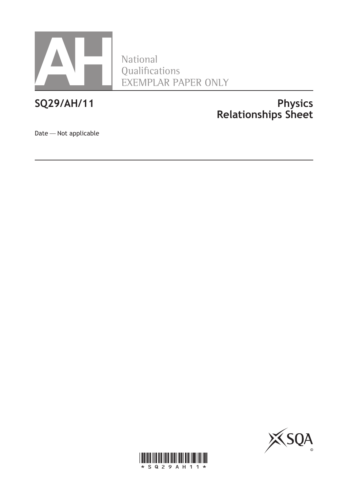

National Qualifications EXEMPLAR PAPER ONLY

## **SQ29/AH/11 Physics Relationships Sheet**

Date—Not applicable



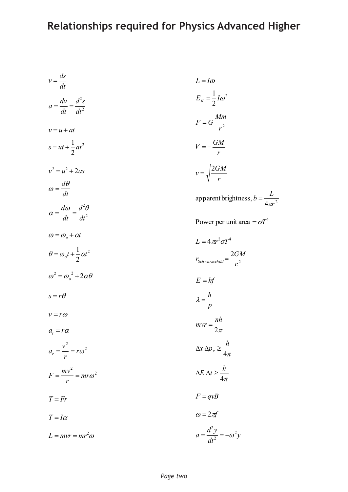# **Relationships required for Physics Advanced Higher**

$$
v = \frac{ds}{dt}
$$
  
\n
$$
L = I\omega
$$
  
\n
$$
a = \frac{dv}{dt} = \frac{d^2s}{dt^2}
$$
  
\n
$$
v = u + at
$$
  
\n
$$
s = ut + \frac{1}{2}at^2
$$
  
\n
$$
v^2 = u^2 + 2as
$$
  
\n
$$
\omega = \frac{d\theta}{dt}
$$
  
\n
$$
\alpha = \frac{d\omega}{dt} = \frac{d^2\theta}{dt^2}
$$
  
\n
$$
\omega = \omega_o + \alpha t
$$
  
\n
$$
\omega = \omega_o + \alpha t
$$
  
\n
$$
\omega = \omega_o + \alpha t
$$
  
\n
$$
\omega = \omega_o + \alpha t
$$
  
\n
$$
\omega = \omega_o + \omega t
$$
  
\n
$$
\omega = \omega_o + \omega t
$$
  
\n
$$
\omega = \omega_o + \omega t
$$
  
\n
$$
\omega = \omega_o + \omega t
$$
  
\n
$$
\omega = \omega_o + \omega t
$$
  
\n
$$
\omega = \omega_o + \omega t
$$
  
\n
$$
\omega = \omega_o + \omega t
$$
  
\n
$$
\omega = \omega_o + \omega t
$$
  
\n
$$
\omega = \omega_o + \omega t
$$
  
\n
$$
\omega = \omega_o + \omega t
$$
  
\n
$$
\omega = \omega_o + \omega t
$$
  
\n
$$
\omega = \omega_o + \omega t
$$
  
\n
$$
\omega = \omega_o + \omega t
$$
  
\n
$$
\omega = \omega_o + \omega t
$$
  
\n
$$
\omega = 2GM
$$
  
\n
$$
\omega = \omega_o + \omega t
$$
  
\n
$$
\omega = \omega_o + \omega t
$$
  
\n
$$
\omega = \omega_o + \omega t
$$
  
\n
$$
\omega = \omega_o + \omega t
$$
  
\n
$$
\omega = \omega_o + \omega t
$$
  
\n
$$
\omega = \omega_o + \omega t
$$
  
\n
$$
\omega = \omega_o + \omega t
$$
  
\n
$$
\omega = \omega_o + \omega t
$$
  
\n
$$
\omega =
$$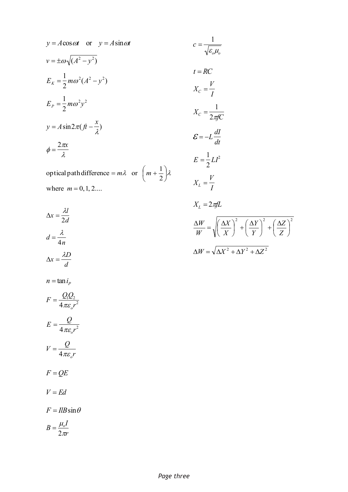$$
y = A \cos \omega t \quad \text{or} \quad y = A \sin \omega t \qquad c = \frac{1}{\sqrt{\varepsilon_o \mu_o}}
$$
  
\n
$$
v = \pm \omega \sqrt{(A^2 - y^2)}
$$
  
\n
$$
E_K = \frac{1}{2} m \omega^2 (A^2 - y^2)
$$
  
\n
$$
E_P = \frac{1}{2} m \omega^2 y^2
$$
  
\n
$$
y = A \sin 2\pi (f t - \frac{x}{\lambda})
$$
  
\n
$$
\phi = \frac{2\pi x}{\lambda}
$$
  
\n
$$
E = -L \frac{dI}{dt}
$$
  
\n
$$
E = \frac{1}{2} L I^2
$$
  
\noptical path difference =  $m\lambda$  or  $\left(m + \frac{1}{2}\right)\lambda$   
\n
$$
V = \frac{V}{\lambda}
$$

$$
X_C = \frac{1}{2\pi fC}
$$
  
\n
$$
\mathcal{E} = -L\frac{dI}{dt}
$$
  
\n
$$
E = \frac{1}{2}LI^2
$$
  
\n
$$
X_L = \frac{V}{I}
$$
  
\n
$$
X_L = 2\pi fL
$$
  
\n
$$
\frac{\Delta W}{W} = \sqrt{\left(\frac{\Delta X}{X}\right)^2 + \left(\frac{\Delta Y}{Y}\right)^2 + \left(\frac{\Delta Z}{Z}\right)^2}
$$
  
\n
$$
\Delta W = \sqrt{\Delta X^2 + \Delta Y^2 + \Delta Z^2}
$$

$$
\Delta x = \frac{\lambda l}{2d}
$$
  
\n
$$
d = \frac{\lambda}{4n}
$$
  
\n
$$
\Delta x = \frac{\lambda D}{d}
$$
  
\n
$$
n = \tan i_p
$$
  
\n
$$
F = \frac{Q_1 Q_2}{4 \pi \varepsilon_o r^2}
$$
  
\n
$$
E = \frac{Q}{4 \pi \varepsilon_o r^2}
$$
  
\n
$$
V = \frac{Q}{4 \pi \varepsilon_o r}
$$
  
\n
$$
F = QE
$$
  
\n
$$
V = Ed
$$
  
\n
$$
F = IlB \sin \theta
$$

where  $m = 0, 1, 2...$ 

$$
B=\frac{\mu_o I}{2\pi r}
$$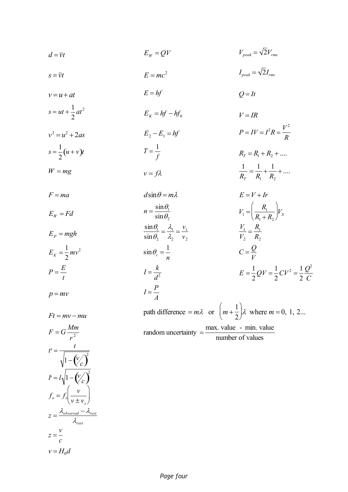$$
d = \overline{v}t \qquad \qquad E_W = QV \qquad \qquad V_{peak} = \sqrt{2}V_{rms}
$$

$$
S = \overline{v}t \qquad \qquad E = mc^2
$$

- $v = u + at$   $E = hf$  $Q = It$
- $s = ut + \frac{1}{2}$  $\overline{c}$ *at*  $E_K = hf - hf_0$  $V = IR$  $P = IV = I^2 R = \frac{V^2}{R}$
- $v^2 = u^2 + 2as$  $E_2 - E_1 = hf$ *R*  $s = \frac{1}{2}$  $\frac{1}{2}(u+v)t$  $T = \frac{1}{2}$ *f*  $R_T = R_1 + R_2 + ...$  $\mathbf{1}$
- $W = mg$  $v = f\lambda$  $R<sub>j</sub>$  $=\frac{1}{2}$ *R*  $+\frac{1}{2}$ *R*  $+$  ....
- $F = ma$  $d\sin\theta = m\lambda$  $E = V + Ir$  $E_w = Fd$  $n = \frac{\sin \theta_1}{\theta_2}$  $\sin \theta_2$  $V_1 = \frac{R_1}{R_2}$  $R_1 + R_2$  $\left(\frac{R_1}{R_1+R_2}\right) V_S$  $E_p = mgh$  $\sin \theta_1$  $\sin \theta_2$  $=\frac{\lambda_1}{\lambda_2}$  $\lambda_{2}$  $=\frac{v_1}{v_2}$ *v V V*  $=\frac{R_1}{R_1}$  $R<sub>2</sub>$  $E_K = \frac{1}{2}$ *mv*  $\sin \theta_c = \frac{1}{n}$  $C = \frac{Q}{U}$ *V*  $P = \frac{E}{A}$ *t*  $I = \frac{k}{l}$  $d^2$  $E = \frac{1}{2}$  $\overline{\mathbf{c}}$  $QV = \frac{1}{2}$  $\overline{\mathbf{c}}$  $CV^2 = \frac{1}{2}$  $\overline{c}$  $Q^2$ *C*  $p = mv$  $I = \frac{P}{I}$ *A*

path difference  $= m\lambda$  or  $\mid m + \lambda$  $\mathbf{1}$  $\overline{c}$  $\left(m + \frac{1}{2}\right)\lambda$  where *m* = 0, 1, 2... random uncertainty  $=\frac{\text{max. value - min. value}}{1-\frac{\text{min}}{2}}$ number of values

 $I_{peak} = \sqrt{2}I_{rms}$ 

 $r^2$  $F = G \frac{Mm}{r}$  $t' = \frac{t}{\sqrt{t}}$  $v_1 - (v_c)^2$  $l' = l \sqrt{1 - (\frac{V}{c})^2}$  $f_o = f_s \left( \frac{v}{v} \right)$  $v \pm v_s$  $($  $\left(\frac{1}{2}\right)$ ·  $\int$  $z = \frac{\lambda_{observed} - \lambda_{rest}}{2}$  $\lambda_{rest}$  $z = \frac{v}{x}$ *c*  $v = H_0 d$ 

 $Ft = mv - mu$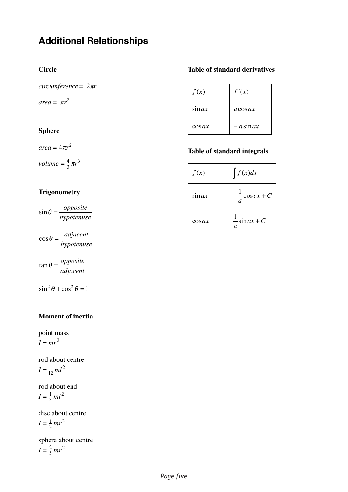# **Additional Relationships**

*circumference* = 2π*r*

 $area = \pi r^2$ 

#### **Sphere**

 $area = 4\pi r^2$ 

*volume* =  $\frac{4}{3} \pi r^3$ 3

### **Trigonometry**

 $\sin \theta = \frac{opposite}{\sqrt{opposite}}$ *hypotenuse*

 $\cos \theta = \frac{adjacent}{i}$ *hypotenuse*

 $\tan \theta = \frac{opposite}{\theta}$ *adjacent*

 $\sin^2 \theta + \cos^2 \theta = 1$ 

#### **Moment of inertia**

point mass  $I = mr^2$ 

rod about centre  $I = \frac{1}{12}ml^2$ 12

rod about end  $I = \frac{1}{3}ml^2$ 3

disc about centre  $I = \frac{1}{2}mr^2$ 2

sphere about centre  $I = \frac{2}{5} mr^2$ 5

#### **Circle Table of standard derivatives**

| f(x)      | f'(x)        |
|-----------|--------------|
| $\sin ax$ | $a \cos ax$  |
| $\cos ax$ | $-$ a sin ax |

#### **Table of standard integrals**

| f(x)      | $\int f(x)dx$                    |
|-----------|----------------------------------|
| $\sin ax$ | $-cosax+C$<br>$\boldsymbol{a}$   |
| $\cos ax$ | $-\sin ax + C$<br>$\overline{a}$ |